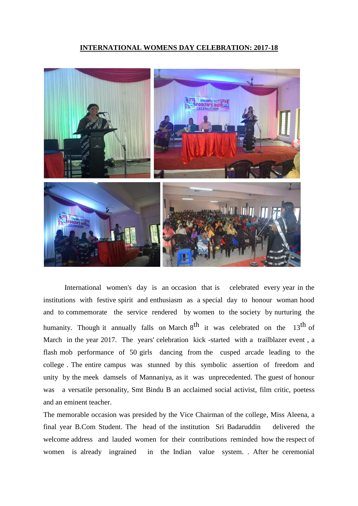## **INTERNATIONAL WOMENS DAY CELEBRATION: 2017-18**



International women's day is an occasion that is celebrated every year in the institutions with festive spirit and enthusiasm as a special day to honour woman hood and to commemorate the service rendered by women to the society by nurturing the humanity. Though it annually falls on March 8<sup>th</sup> it was celebrated on the 13<sup>th</sup> of March in the year 2017. The years' celebration kick -started with a trailblazer event , a flash mob performance of 50 girls dancing from the cusped arcade leading to the college . The entire campus was stunned by this symbolic assertion of freedom and unity by the meek damsels of Mannaniya, as it was unprecedented. The guest of honour was a versatile personality, Smt Bindu B an acclaimed social activist, film critic, poetess and an eminent teacher.

The memorable occasion was presided by the Vice Chairman of the college, Miss Aleena, a final year B.Com Student. The head of the institution Sri Badaruddin delivered the welcome address and lauded women for their contributions reminded how the respect of women is already ingrained in the Indian value system. . After he ceremonial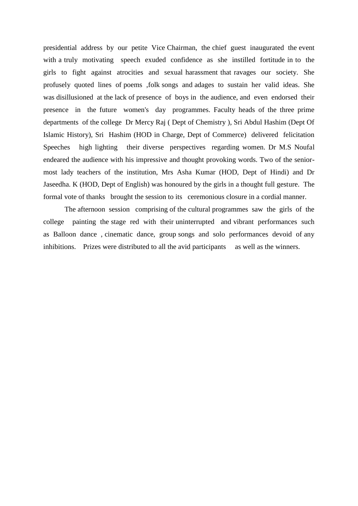presidential address by our petite Vice Chairman, the chief guest inaugurated the event with a truly motivating speech exuded confidence as she instilled fortitude in to the girls to fight against atrocities and sexual harassment that ravages our society. She profusely quoted lines of poems ,folk songs and adages to sustain her valid ideas. She was disillusioned at the lack of presence of boys in the audience, and even endorsed their presence in the future women's day programmes. Faculty heads of the three prime departments of the college Dr Mercy Raj ( Dept of Chemistry ), Sri Abdul Hashim (Dept Of Islamic History), Sri Hashim (HOD in Charge, Dept of Commerce) delivered felicitation Speeches high lighting their diverse perspectives regarding women. Dr M.S Noufal endeared the audience with his impressive and thought provoking words. Two of the seniormost lady teachers of the institution, Mrs Asha Kumar (HOD, Dept of Hindi) and Dr Jaseedha. K (HOD, Dept of English) was honoured by the girls in a thought full gesture. The formal vote of thanks brought the session to its ceremonious closure in a cordial manner.

The afternoon session comprising of the cultural programmes saw the girls of the college painting the stage red with their uninterrupted and vibrant performances such as Balloon dance , cinematic dance, group songs and solo performances devoid of any inhibitions. Prizes were distributed to all the avid participants as well as the winners.